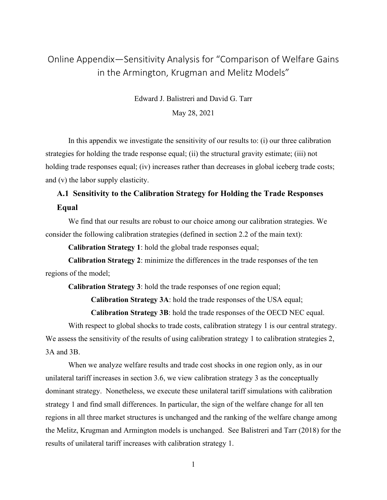# Online Appendix—Sensitivity Analysis for "Comparison of Welfare Gains in the Armington, Krugman and Melitz Models"

Edward J. Balistreri and David G. Tarr

May 28, 2021

In this appendix we investigate the sensitivity of our results to: (i) our three calibration strategies for holding the trade response equal; (ii) the structural gravity estimate; (iii) not holding trade responses equal; (iv) increases rather than decreases in global iceberg trade costs; and (v) the labor supply elasticity.

# **A.1 Sensitivity to the Calibration Strategy for Holding the Trade Responses Equal**

We find that our results are robust to our choice among our calibration strategies. We consider the following calibration strategies (defined in section 2.2 of the main text):

**Calibration Strategy 1**: hold the global trade responses equal;

**Calibration Strategy 2**: minimize the differences in the trade responses of the ten regions of the model;

**Calibration Strategy 3**: hold the trade responses of one region equal;

**Calibration Strategy 3A**: hold the trade responses of the USA equal;

**Calibration Strategy 3B**: hold the trade responses of the OECD NEC equal.

With respect to global shocks to trade costs, calibration strategy 1 is our central strategy. We assess the sensitivity of the results of using calibration strategy 1 to calibration strategies 2, 3A and 3B.

When we analyze welfare results and trade cost shocks in one region only, as in our unilateral tariff increases in section 3.6, we view calibration strategy 3 as the conceptually dominant strategy. Nonetheless, we execute these unilateral tariff simulations with calibration strategy 1 and find small differences. In particular, the sign of the welfare change for all ten regions in all three market structures is unchanged and the ranking of the welfare change among the Melitz, Krugman and Armington models is unchanged. See Balistreri and Tarr (2018) for the results of unilateral tariff increases with calibration strategy 1.

1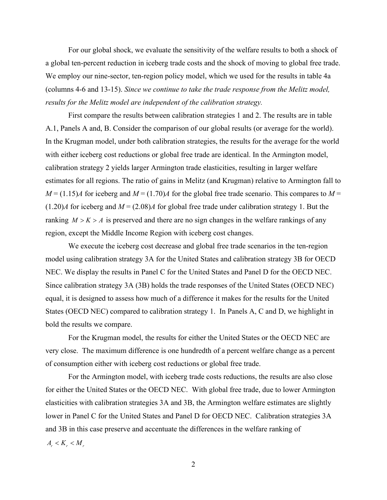For our global shock, we evaluate the sensitivity of the welfare results to both a shock of a global ten-percent reduction in iceberg trade costs and the shock of moving to global free trade. We employ our nine-sector, ten-region policy model, which we used for the results in table 4a (columns 4-6 and 13-15). *Since we continue to take the trade response from the Melitz model, results for the Melitz model are independent of the calibration strategy.*

First compare the results between calibration strategies 1 and 2. The results are in table A.1, Panels A and, B. Consider the comparison of our global results (or average for the world). In the Krugman model, under both calibration strategies, the results for the average for the world with either iceberg cost reductions or global free trade are identical. In the Armington model, calibration strategy 2 yields larger Armington trade elasticities, resulting in larger welfare estimates for all regions. The ratio of gains in Melitz (and Krugman) relative to Armington fall to  $M = (1.15)A$  for iceberg and  $M = (1.70)A$  for the global free trade scenario. This compares to  $M =$  $(1.20)$ *A* for iceberg and  $M = (2.08)$ *A* for global free trade under calibration strategy 1. But the ranking  $M > K > A$  is preserved and there are no sign changes in the welfare rankings of any region, except the Middle Income Region with iceberg cost changes.

We execute the iceberg cost decrease and global free trade scenarios in the ten-region model using calibration strategy 3A for the United States and calibration strategy 3B for OECD NEC. We display the results in Panel C for the United States and Panel D for the OECD NEC. Since calibration strategy 3A (3B) holds the trade responses of the United States (OECD NEC) equal, it is designed to assess how much of a difference it makes for the results for the United States (OECD NEC) compared to calibration strategy 1. In Panels A, C and D, we highlight in bold the results we compare.

For the Krugman model, the results for either the United States or the OECD NEC are very close. The maximum difference is one hundredth of a percent welfare change as a percent of consumption either with iceberg cost reductions or global free trade.

For the Armington model, with iceberg trade costs reductions, the results are also close for either the United States or the OECD NEC. With global free trade, due to lower Armington elasticities with calibration strategies 3A and 3B, the Armington welfare estimates are slightly lower in Panel C for the United States and Panel D for OECD NEC. Calibration strategies 3A and 3B in this case preserve and accentuate the differences in the welfare ranking of  $A<sub>r</sub> < K<sub>r</sub> < M<sub>r</sub>$ 

2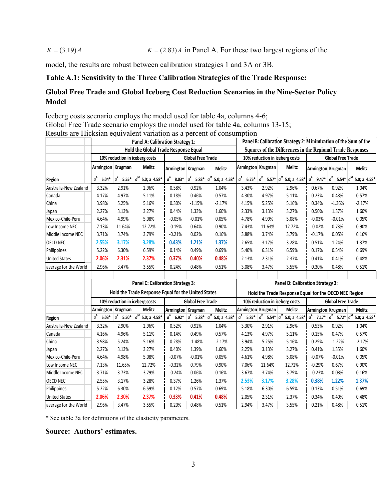### $K = (3.19)A$   $K = (2.83)A$  in Panel A. For these two largest regions of the

model, the results are robust between calibration strategies 1 and 3A or 3B.

## **Table A.1: Sensitivity to the Three Calibration Strategies of the Trade Response:**

# **Global Free Trade and Global Iceberg Cost Reduction Scenarios in the Nine-Sector Policy Model**

Iceberg costs scenario employs the model used for table 4a, columns 4-6; Global Free Trade scenario employs the model used for table 4a, columns 13-15; Results are Hicksian equivalent variation as a percent of consumption

|                       | Panel A: Calibration Strategy 1:<br>Hold the Global Trade Response Equal |        |                                                                    |                   |                                                                                 |                                                                    | Panel B: Calibration Strategy 2: Minimization of the Sum of the |        |                                                                    |                                                            |          |                                                                    |  |
|-----------------------|--------------------------------------------------------------------------|--------|--------------------------------------------------------------------|-------------------|---------------------------------------------------------------------------------|--------------------------------------------------------------------|-----------------------------------------------------------------|--------|--------------------------------------------------------------------|------------------------------------------------------------|----------|--------------------------------------------------------------------|--|
|                       |                                                                          |        |                                                                    |                   |                                                                                 |                                                                    |                                                                 |        |                                                                    | Squares of the Differences in the Regional Trade Responses |          |                                                                    |  |
|                       | 10% reduction in iceberg costs                                           |        | <b>Global Free Trade</b>                                           |                   |                                                                                 | 10% reduction in iceberg costs                                     |                                                                 |        | <b>Global Free Trade</b>                                           |                                                            |          |                                                                    |  |
|                       | Armington Krugman                                                        |        | Melitz                                                             | Armington Krugman |                                                                                 | Melitz                                                             | Armington Krugman                                               |        | Melitz                                                             | Armington Krugman                                          |          | Melitz                                                             |  |
| Region                |                                                                          |        | $\sigma^A = 6.04^*$ $\sigma^K = 5.55^*$ $\sigma^M = 5.0$ ; a=4.58* |                   |                                                                                 | $\sigma^A = 8.03^*$ $\sigma^K = 5.83^*$ $\sigma^M = 5.0$ ; a=4.58* |                                                                 |        | $\sigma^A$ = 6.75* $\sigma^K$ = 5.57* $\sigma^M$ =5.0; a=4.58*     |                                                            |          | $\sigma^A = 9.47^*$ $\sigma^K = 5.54^*$ $\sigma^M = 5.0$ ; a=4.58* |  |
| Australia-New Zealand | 3.32%                                                                    | 2.91%  | 2.96%                                                              | 0.58%             | 0.92%                                                                           | 1.04%                                                              | 3.43%                                                           | 2.92%  | 2.96%                                                              | 0.67%                                                      | 0.92%    | 1.04%                                                              |  |
| Canada                | 4.17%                                                                    | 4.97%  | 5.11%                                                              | 0.18%             | 0.46%                                                                           | 0.57%                                                              | 4.30%                                                           | 4.97%  | 5.11%                                                              | 0.23%                                                      | 0.48%    | 0.57%                                                              |  |
| China                 | 3.98%                                                                    | 5.25%  | 5.16%                                                              | 0.30%             | $-1.15%$                                                                        | $-2.17%$                                                           | 4.15%                                                           | 5.25%  | 5.16%                                                              | 0.34%                                                      | $-1.36%$ | $-2.17%$                                                           |  |
| Japan                 | 2.27%                                                                    | 3.13%  | 3.27%                                                              | 0.44%             | 1.33%                                                                           | 1.60%                                                              | 2.33%                                                           | 3.13%  | 3.27%                                                              | 0.50%                                                      | 1.37%    | 1.60%                                                              |  |
| Mexico-Chile-Peru     | 4.64%                                                                    | 4.99%  | 5.08%                                                              | $-0.05%$          | $-0.01%$                                                                        | 0.05%                                                              | 4.78%                                                           | 4.99%  | 5.08%                                                              | $-0.03%$                                                   | $-0.01%$ | 0.05%                                                              |  |
| Low Income NEC        | 7.13%                                                                    | 11.64% | 12.72%                                                             | $-0.19%$          | 0.64%                                                                           | 0.90%                                                              | 7.43%                                                           | 11.63% | 12.72%                                                             | $-0.02%$                                                   | 0.73%    | 0.90%                                                              |  |
| Middle Income NEC     | 3.71%                                                                    | 3.74%  | 3.79%                                                              | $-0.21%$          | 0.02%                                                                           | 0.16%                                                              | 3.88%                                                           | 3.74%  | 3.79%                                                              | $-0.17%$                                                   | 0.05%    | 0.16%                                                              |  |
| <b>OECD NEC</b>       | 2.55%                                                                    | 3.17%  | 3.28%                                                              | 0.43%             | 1.21%                                                                           | 1.37%                                                              | 2.65%                                                           | 3.17%  | 3.28%                                                              | 0.51%                                                      | 1.24%    | 1.37%                                                              |  |
| Philippines           | 5.22%                                                                    | 6.30%  | 6.59%                                                              | 0.14%             | 0.49%                                                                           | 0.69%                                                              | 5.40%                                                           | 6.31%  | 6.59%                                                              | 0.17%                                                      | 0.54%    | 0.69%                                                              |  |
| <b>United States</b>  | 2.06%                                                                    | 2.31%  | 2.37%                                                              | 0.37%             | 0.40%                                                                           | 0.48%                                                              | 2.13%                                                           | 2.31%  | 2.37%                                                              | 0.41%                                                      | 0.41%    | 0.48%                                                              |  |
| average for the World | 2.96%                                                                    | 3.47%  | 3.55%                                                              | 0.24%             | 0.48%                                                                           | 0.51%                                                              | 3.08%                                                           | 3.47%  | 3.55%                                                              | 0.30%                                                      | 0.48%    | 0.51%                                                              |  |
|                       |                                                                          |        |                                                                    |                   |                                                                                 |                                                                    |                                                                 |        |                                                                    |                                                            |          |                                                                    |  |
|                       |                                                                          |        | Panel C: Calibration Strategy 3:                                   |                   |                                                                                 |                                                                    | Panel D: Calibration Strategy 3:                                |        |                                                                    |                                                            |          |                                                                    |  |
|                       |                                                                          |        |                                                                    |                   | Hold the Trade Response Equal for the United States<br><b>Global Free Trade</b> |                                                                    |                                                                 |        |                                                                    | Hold the Trade Response Equal for the OECD NEC Region      |          |                                                                    |  |
|                       |                                                                          |        | 10% reduction in iceberg costs                                     |                   |                                                                                 |                                                                    |                                                                 |        | 10% reduction in iceberg costs                                     | <b>Global Free Trade</b>                                   |          |                                                                    |  |
|                       | Armington Krugman                                                        |        | <b>Melitz</b>                                                      | Armington Krugman |                                                                                 | <b>Melitz</b>                                                      | Armington Krugman                                               |        | <b>Melitz</b>                                                      | Armington Krugman                                          |          | Melitz                                                             |  |
| Region                |                                                                          |        | $\sigma^A$ = 6.03* $\sigma^K$ = 5.50* $\sigma^M$ =5.0; a=4.58*     |                   |                                                                                 | $\sigma^A = 6.92^*$ $\sigma^K = 5.38^*$ $\sigma^M = 5.0$ ; a=4.58* |                                                                 |        | $\sigma^A = 5.87^*$ $\sigma^K = 5.54^*$ $\sigma^M = 5.0$ ; a=4.58* |                                                            |          | $\sigma^A$ = 7.17* $\sigma^K$ = 5.72* $\sigma^M$ =5.0; a=4.58*     |  |
| Australia-New Zealand | 3.32%                                                                    | 2.90%  | 2.96%                                                              | 0.52%             | 0.92%                                                                           | 1.04%                                                              | 3.30%                                                           | 2.91%  | 2.96%                                                              | 0.53%                                                      | 0.92%    | 1.04%                                                              |  |
| Canada                | 4.16%                                                                    | 4.96%  | 5.11%                                                              | 0.14%             | 0.49%                                                                           | 0.57%                                                              | 4.13%                                                           | 4.97%  | 5.11%                                                              | 0.15%                                                      | 0.47%    | 0.57%                                                              |  |
| China                 | 3.98%                                                                    | 5.24%  | 5.16%                                                              | 0.28%             | $-1.48%$                                                                        | $-2.17%$                                                           | 3.94%                                                           | 5.25%  | 5.16%                                                              | 0.29%                                                      | $-1.22%$ | $-2.17%$                                                           |  |
| Japan                 | 2.27%                                                                    | 3.13%  | 3.27%                                                              | 0.40%             | 1.39%                                                                           | 1.60%                                                              | 2.25%                                                           | 3.13%  | 3.27%                                                              | 0.41%                                                      | 1.35%    | 1.60%                                                              |  |
| Mexico-Chile-Peru     | 4.64%                                                                    | 4.98%  | 5.08%                                                              | $-0.07%$          | $-0.01%$                                                                        | 0.05%                                                              | 4.61%                                                           | 4.98%  | 5.08%                                                              | $-0.07%$                                                   | $-0.01%$ | 0.05%                                                              |  |
| Low Income NEC        | 7.13%                                                                    | 11.65% | 12.72%                                                             | $-0.32%$          | 0.79%                                                                           | 0.90%                                                              | 7.06%                                                           | 11.64% | 12.72%                                                             | $-0.29%$                                                   | 0.67%    | 0.90%                                                              |  |
| Middle Income NEC     | 3.71%                                                                    | 3.73%  | 3.79%                                                              | $-0.24%$          | 0.06%                                                                           | 0.16%                                                              | 3.67%                                                           | 3.74%  | 3.79%                                                              | $-0.23%$                                                   | 0.03%    | 0.16%                                                              |  |
| <b>OECD NEC</b>       | 2.55%                                                                    | 3.17%  | 3.28%                                                              | 0.37%             | 1.26%                                                                           | 1.37%                                                              | 2.53%                                                           | 3.17%  | 3.28%                                                              | 0.38%                                                      | 1.22%    | 1.37%                                                              |  |
| Philippines           | 5.22%                                                                    | 6.30%  | 6.59%                                                              | 0.12%             | 0.57%                                                                           | 0.69%                                                              | 5.18%                                                           | 6.30%  | 6.59%                                                              | 0.13%                                                      | 0.51%    | 0.69%                                                              |  |
| <b>United States</b>  | 2.06%                                                                    | 2.30%  | 2.37%                                                              | 0.33%             | 0.41%                                                                           | 0.48%                                                              | 2.05%                                                           | 2.31%  | 2.37%                                                              | 0.34%                                                      | 0.40%    | 0.48%                                                              |  |
| average for the World | 2.96%                                                                    | 3.47%  | 3.55%                                                              | 0.20%             | 0.48%                                                                           | 0.51%                                                              | 2.94%                                                           | 3.47%  | 3.55%                                                              | 0.21%                                                      | 0.48%    | 0.51%                                                              |  |

\* See table 3a for definitions of the elasticity parameters.

**Source: Authors' estimates.**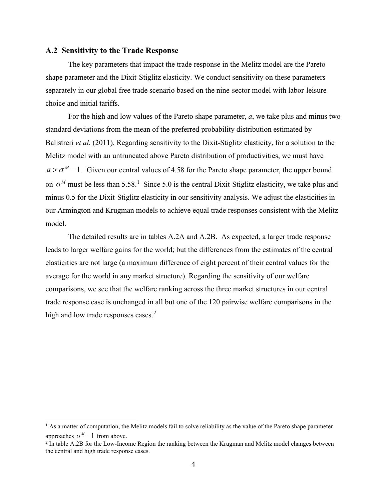#### **A.2 Sensitivity to the Trade Response**

The key parameters that impact the trade response in the Melitz model are the Pareto shape parameter and the Dixit-Stiglitz elasticity. We conduct sensitivity on these parameters separately in our global free trade scenario based on the nine-sector model with labor-leisure choice and initial tariffs.

For the high and low values of the Pareto shape parameter, *a*, we take plus and minus two standard deviations from the mean of the preferred probability distribution estimated by Balistreri *et al.* (2011). Regarding sensitivity to the Dixit-Stiglitz elasticity, for a solution to the Melitz model with an untruncated above Pareto distribution of productivities, we must have  $a > \sigma^M - 1$ . Given our central values of 4.58 for the Pareto shape parameter, the upper bound on  $\sigma^M$  must be less than 5.58.<sup>[1](#page-3-0)</sup> Since 5.0 is the central Dixit-Stiglitz elasticity, we take plus and minus 0.5 for the Dixit-Stiglitz elasticity in our sensitivity analysis. We adjust the elasticities in our Armington and Krugman models to achieve equal trade responses consistent with the Melitz model.

The detailed results are in tables A.2A and A.2B. As expected, a larger trade response leads to larger welfare gains for the world; but the differences from the estimates of the central elasticities are not large (a maximum difference of eight percent of their central values for the average for the world in any market structure). Regarding the sensitivity of our welfare comparisons, we see that the welfare ranking across the three market structures in our central trade response case is unchanged in all but one of the 120 pairwise welfare comparisons in the high and low trade responses cases.<sup>[2](#page-3-1)</sup>

<span id="page-3-0"></span><sup>&</sup>lt;sup>1</sup> As a matter of computation, the Melitz models fail to solve reliability as the value of the Pareto shape parameter approaches  $\sigma^M$  − 1 from above.

<span id="page-3-1"></span><sup>&</sup>lt;sup>2</sup> In table A.2B for the Low-Income Region the ranking between the Krugman and Melitz model changes between the central and high trade response cases.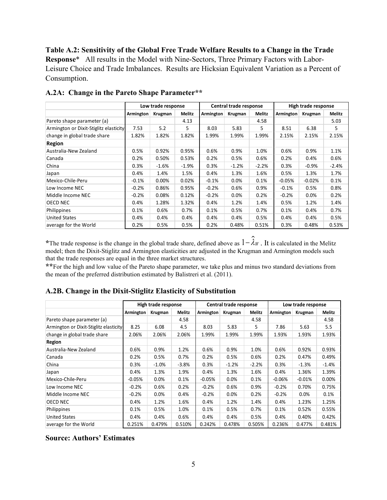**Table A.2: Sensitivity of the Global Free Trade Welfare Results to a Change in the Trade Response**\* All results in the Model with Nine-Sectors, Three Primary Factors with Labor-Leisure Choice and Trade Imbalances. Results are Hicksian Equivalent Variation as a Percent of Consumption.

|                                        | Low trade response |         |         |           | Central trade response |               | High trade response |          |               |
|----------------------------------------|--------------------|---------|---------|-----------|------------------------|---------------|---------------------|----------|---------------|
|                                        | Armington          | Krugman | Melitz  | Armington | Krugman                | <b>Melitz</b> | Armington           | Krugman  | <b>Melitz</b> |
| Pareto shape parameter (a)             |                    |         | 4.13    |           |                        | 4.58          |                     |          | 5.03          |
| Armington or Dixit-Stiglitz elasticity | 7.53               | 5.2     | 5.      | 8.03      | 5.83                   | 5             | 8.51                | 6.38     | 5.            |
| change in global trade share           | 1.82%              | 1.82%   | 1.82%   | 1.99%     | 1.99%                  | 1.99%         | 2.15%               | 2.15%    | 2.15%         |
| <b>Region</b>                          |                    |         |         |           |                        |               |                     |          |               |
| Australia-New Zealand                  | 0.5%               | 0.92%   | 0.95%   | 0.6%      | 0.9%                   | 1.0%          | 0.6%                | 0.9%     | 1.1%          |
| Canada                                 | 0.2%               | 0.50%   | 0.53%   | 0.2%      | 0.5%                   | 0.6%          | 0.2%                | 0.4%     | 0.6%          |
| China                                  | 0.3%               | $-1.6%$ | $-1.9%$ | 0.3%      | $-1.2%$                | $-2.2%$       | 0.3%                | $-0.9%$  | $-2.4%$       |
| Japan                                  | 0.4%               | 1.4%    | 1.5%    | 0.4%      | 1.3%                   | 1.6%          | 0.5%                | 1.3%     | 1.7%          |
| Mexico-Chile-Peru                      | $-0.1%$            | 0.00%   | 0.02%   | $-0.1%$   | 0.0%                   | 0.1%          | $-0.05%$            | $-0.02%$ | 0.1%          |
| Low Income NEC                         | $-0.2%$            | 0.86%   | 0.95%   | $-0.2%$   | 0.6%                   | 0.9%          | $-0.1%$             | 0.5%     | 0.8%          |
| Middle Income NEC                      | $-0.2\%$           | 0.08%   | 0.12%   | $-0.2%$   | 0.0%                   | 0.2%          | $-0.2%$             | $0.0\%$  | 0.2%          |
| OECD NEC                               | 0.4%               | 1.28%   | 1.32%   | 0.4%      | 1.2%                   | 1.4%          | 0.5%                | 1.2%     | 1.4%          |
| Philippines                            | 0.1%               | 0.6%    | 0.7%    | 0.1%      | 0.5%                   | 0.7%          | 0.1%                | 0.4%     | 0.7%          |
| <b>United States</b>                   | $0.4\%$            | 0.4%    | 0.4%    | $0.4\%$   | 0.4%                   | 0.5%          | 0.4%                | $0.4\%$  | 0.5%          |
| average for the World                  | 0.2%               | 0.5%    | 0.5%    | 0.2%      | 0.48%                  | 0.51%         | 0.3%                | 0.48%    | 0.53%         |

**A.2A: Change in the Pareto Shape Parameter\*\***

**\***The trade response is the change in the global trade share, defined above as <sup>1</sup><sup>−</sup> <sup>λ</sup>*<sup>W</sup>* . It is calculated in the Melitz model; then the Dixit-Stiglitz and Armington elasticities are adjusted in the Krugman and Armington models such that the trade responses are equal in the three market structures.

**\*\***For the high and low value of the Pareto shape parameter, we take plus and minus two standard deviations from the mean of the preferred distribution estimated by Balistreri et al. (2011).

#### **A.2B. Change in the Dixit-Stiglitz Elasticity of Substitution**

|                                        | High trade response |         |               | Central trade response |         |               | Low trade response |          |               |
|----------------------------------------|---------------------|---------|---------------|------------------------|---------|---------------|--------------------|----------|---------------|
|                                        | Armington           | Krugman | <b>Melitz</b> | Armington              | Krugman | <b>Melitz</b> | Armington          | Krugman  | <b>Melitz</b> |
| Pareto shape parameter (a)             |                     |         | 4.58          |                        |         | 4.58          |                    |          | 4.58          |
| Armington or Dixit-Stiglitz elasticity | 8.25                | 6.08    | 4.5           | 8.03                   | 5.83    | 5             | 7.86               | 5.63     | 5.5           |
| change in global trade share           | 2.06%               | 2.06%   | 2.06%         | 1.99%                  | 1.99%   | 1.99%         | 1.93%              | 1.93%    | 1.93%         |
| Region                                 |                     |         |               |                        |         |               |                    |          |               |
| Australia-New Zealand                  | 0.6%                | 0.9%    | 1.2%          | 0.6%                   | 0.9%    | 1.0%          | 0.6%               | 0.92%    | 0.93%         |
| Canada                                 | 0.2%                | 0.5%    | 0.7%          | 0.2%                   | 0.5%    | 0.6%          | 0.2%               | 0.47%    | 0.49%         |
| China                                  | 0.3%                | $-1.0%$ | $-3.8%$       | 0.3%                   | $-1.2%$ | $-2.2%$       | 0.3%               | $-1.3%$  | $-1.4%$       |
| Japan                                  | 0.4%                | 1.3%    | 1.9%          | 0.4%                   | 1.3%    | 1.6%          | 0.4%               | 1.36%    | 1.39%         |
| Mexico-Chile-Peru                      | $-0.05%$            | $0.0\%$ | 0.1%          | $-0.05%$               | $0.0\%$ | 0.1%          | $-0.06%$           | $-0.01%$ | 0.00%         |
| Low Income NEC                         | $-0.2%$             | 0.6%    | 0.2%          | $-0.2%$                | 0.6%    | 0.9%          | $-0.2%$            | 0.70%    | 0.75%         |
| Middle Income NEC                      | $-0.2%$             | $0.0\%$ | 0.4%          | $-0.2%$                | 0.0%    | 0.2%          | $-0.2%$            | 0.0%     | 0.1%          |
| OECD NEC                               | 0.4%                | 1.2%    | 1.6%          | 0.4%                   | 1.2%    | 1.4%          | 0.4%               | 1.23%    | 1.25%         |
| Philippines                            | 0.1%                | 0.5%    | 1.0%          | 0.1%                   | 0.5%    | 0.7%          | 0.1%               | 0.52%    | 0.55%         |
| <b>United States</b>                   | 0.4%                | 0.4%    | 0.6%          | 0.4%                   | 0.4%    | 0.5%          | 0.4%               | 0.40%    | 0.42%         |
| average for the World                  | 0.251%              | 0.479%  | 0.510%        | 0.242%                 | 0.478%  | 0.505%        | 0.236%             | 0.477%   | 0.481%        |

**Source: Authors' Estimates**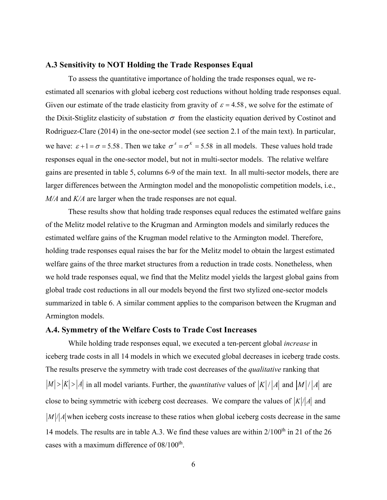#### **A.3 Sensitivity to NOT Holding the Trade Responses Equal**

To assess the quantitative importance of holding the trade responses equal, we reestimated all scenarios with global iceberg cost reductions without holding trade responses equal. Given our estimate of the trade elasticity from gravity of  $\varepsilon = 4.58$ , we solve for the estimate of the Dixit-Stiglitz elasticity of substation  $\sigma$  from the elasticity equation derived by Costinot and Rodriguez-Clare (2014) in the one-sector model (see section 2.1 of the main text). In particular, we have:  $\varepsilon + 1 = \sigma = 5.58$ . Then we take  $\sigma^A = \sigma^K = 5.58$  in all models. These values hold trade responses equal in the one-sector model, but not in multi-sector models. The relative welfare gains are presented in table 5, columns 6-9 of the main text. In all multi-sector models, there are larger differences between the Armington model and the monopolistic competition models, i.e., *M/A* and *K/A* are larger when the trade responses are not equal.

These results show that holding trade responses equal reduces the estimated welfare gains of the Melitz model relative to the Krugman and Armington models and similarly reduces the estimated welfare gains of the Krugman model relative to the Armington model. Therefore, holding trade responses equal raises the bar for the Melitz model to obtain the largest estimated welfare gains of the three market structures from a reduction in trade costs. Nonetheless, when we hold trade responses equal, we find that the Melitz model yields the largest global gains from global trade cost reductions in all our models beyond the first two stylized one-sector models summarized in table 6. A similar comment applies to the comparison between the Krugman and Armington models.

#### **A.4. Symmetry of the Welfare Costs to Trade Cost Increases**

While holding trade responses equal, we executed a ten-percent global *increase* in iceberg trade costs in all 14 models in which we executed global decreases in iceberg trade costs. The results preserve the symmetry with trade cost decreases of the *qualitative* ranking that  $|M| > |K| > |A|$  in all model variants. Further, the *quantitative* values of  $|K| / |A|$  and  $|M| / |A|$  are close to being symmetric with iceberg cost decreases. We compare the values of  $|K|/|A|$  and  $|M|/|A|$  when iceberg costs increase to these ratios when global iceberg costs decrease in the same 14 models. The results are in table A.3. We find these values are within 2/100<sup>th</sup> in 21 of the 26 cases with a maximum difference of 08/100<sup>th</sup>.

6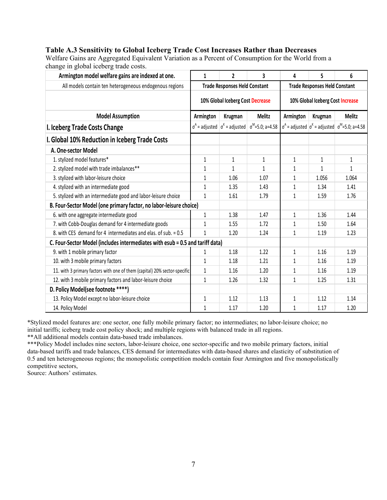## **Table A.3 Sensitivity to Global Iceberg Trade Cost Increases Rather than Decreases**

Welfare Gains are Aggregated Equivalent Variation as a Percent of Consumption for the World from a change in global iceberg trade costs.

| Armington model welfare gains are indexed at one.                             | $\mathbf{1}$                     | $\overline{2}$                              | 3                       | 4                                    | 5            | 6                                                                   |  |
|-------------------------------------------------------------------------------|----------------------------------|---------------------------------------------|-------------------------|--------------------------------------|--------------|---------------------------------------------------------------------|--|
| All models contain ten heterogeneous endogenous regions                       |                                  | <b>Trade Responses Held Constant</b>        |                         | <b>Trade Responses Held Constant</b> |              |                                                                     |  |
|                                                                               | 10% Global Iceberg Cost Decrease |                                             |                         | 10% Global Iceberg Cost Increase     |              |                                                                     |  |
| <b>Model Assumption</b>                                                       | Armington                        | Krugman                                     | <b>Melitz</b>           | Armington                            | Krugman      | <b>Melitz</b>                                                       |  |
| I. Iceberg Trade Costs Change                                                 |                                  | $\sigma^A$ = adjusted $\sigma^K$ = adjusted | $\sigma^M$ =5.0; a=4.58 |                                      |              | $\sigma^A$ = adjusted $\sigma^K$ = adjusted $\sigma^M$ =5.0; a=4.58 |  |
| I. Global 10% Reduction in Iceberg Trade Costs                                |                                  |                                             |                         |                                      |              |                                                                     |  |
| A. One-sector Model                                                           |                                  |                                             |                         |                                      |              |                                                                     |  |
| 1. stylized model features*                                                   | $\mathbf{1}$                     | 1                                           | $\mathbf{1}$            | 1                                    | $\mathbf{1}$ | $\mathbf{1}$                                                        |  |
| 2. stylized model with trade imbalances**                                     | 1                                | 1                                           | 1                       | 1                                    | $\mathbf{1}$ | $\mathbf{1}$                                                        |  |
| 3. stylized with labor-leisure choice                                         | 1                                | 1.06                                        | 1.07                    | 1                                    | 1.056        | 1.064                                                               |  |
| 4. stylized with an intermediate good                                         | 1                                | 1.35                                        | 1.43                    | 1                                    | 1.34         | 1.41                                                                |  |
| 5. stylized with an intermediate good and labor-leisure choice                | $\mathbf{1}$                     | 1.61                                        | 1.79                    | 1                                    | 1.59         | 1.76                                                                |  |
| B. Four-Sector Model (one primary factor, no labor-leisure choice)            |                                  |                                             |                         |                                      |              |                                                                     |  |
| 6. with one aggregate intermediate good                                       | $\mathbf{1}$                     | 1.38                                        | 1.47                    | $\mathbf{1}$                         | 1.36         | 1.44                                                                |  |
| 7. with Cobb-Douglas demand for 4 intermediate goods                          | 1                                | 1.55                                        | 1.72                    | 1                                    | 1.50         | 1.64                                                                |  |
| 8. with CES demand for 4 intermediates and elas, of sub, = 0.5                | $\mathbf{1}$                     | 1.20                                        | 1.24                    | 1                                    | 1.19         | 1.23                                                                |  |
| C. Four-Sector Model (includes intermediates with esub = 0.5 and tariff data) |                                  |                                             |                         |                                      |              |                                                                     |  |
| 9. with 1 mobile primary factor                                               | 1                                | 1.18                                        | 1.22                    | $\mathbf{1}$                         | 1.16         | 1.19                                                                |  |
| 10. with 3 mobile primary factors                                             | $\mathbf{1}$                     | 1.18                                        | 1.21                    | 1                                    | 1.16         | 1.19                                                                |  |
| 11. with 3 primary factors with one of them (capital) 20% sector-specific     | $\mathbf{1}$                     | 1.16                                        | 1.20                    | 1                                    | 1.16         | 1.19                                                                |  |
| 12. with 3 mobile primary factors and labor-leisure choice                    | $\mathbf{1}$                     | 1.26                                        | 1.32                    | 1                                    | 1.25         | 1.31                                                                |  |
| D. Policy Model(see footnote ****)                                            |                                  |                                             |                         |                                      |              |                                                                     |  |
| 13. Policy Model except no labor-leisure choice                               | $\mathbf{1}$                     | 1.12                                        | 1.13                    | 1                                    | 1.12         | 1.14                                                                |  |
| 14. Policy Model                                                              | $\mathbf{1}$                     | 1.17                                        | 1.20                    | 1                                    | 1.17         | 1.20                                                                |  |

\*Stylized model features are: one sector, one fully mobile primary factor; no intermediates; no labor-leisure choice; no initial tariffs; iceberg trade cost policy shock; and multiple regions with balanced trade in all regions.

\*\*All additional models contain data-based trade imbalances.

\*\*\*Policy Model includes nine sectors, labor-leisure choice, one sector-specific and two mobile primary factors, initial data-based tariffs and trade balances, CES demand for intermediates with data-based shares and elasticity of substitution of 0.5 and ten heterogeneous regions; the monopolistic competition models contain four Armington and five monopolistically competitive sectors,

Source: Authors' estimates.